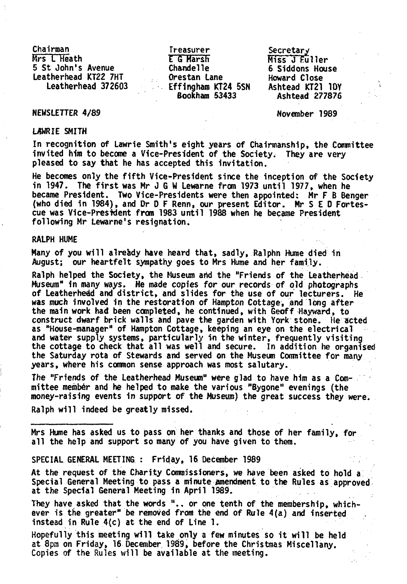Chairman Mrs L Heath 5 St John's Avenue Leatherhead KT22 7HT

Treasurer E 6 Marsh Chandelle Orestan Lane Effingham KT24 5SN Leatherhead 372603 Ashtead KT21 10Y Bookham 53433

Miss J Fuller 6 Siddons House Howard Close Secretary Ashtead 277876

## NEWSLETTER 4/89 November 1989

# U5WRIE SMITH

In recognition of Lawrie Smith's eight years of Chairmanship, the Conmittee invited him to become a Vice-President of the Society. They are very pleased to say that he has accepted this invitation.

He becomes only the fifth Vice-President since the inception of the Society in 1947. The first was Mr J G W Lewarne from 1973 until 1977, when he became President. Two Vice-Presidents were then appointed: Mr F B Benger (who died in 1984), and Dr D F Renn, our present Editor. Mr S E D Fortescue was Vice-President from 1983 until 1988 when he became President following Mr Lewarne's resignation.

### RALPH HUME

Many of you will alreidy have heard that, sadly, Ralphn Hume died in August; our heartfelt sympathy goes to Mrs Hume and her family.

Ralph helped the Society, the Museum arid the "Friends of the Leatherhead Museum" in many ways. He made copies for our records of old photographs of Leatherhedd and district, and slides for the use of our lecturers. He was much involved in the restoration of Hampton Cottage, and long after the main work had been completed, he continued, with Geoff Hayward, to construct dwarf brick walls and pave the garden with York stone. He acted as "House-manager" of Hampton Cottage, keeping an eye on the electrical and water supply systems, particularly in the winter, frequently visiting the cottage to check that all was well and secure. In addition he organised the Saturday rota of Stewards and served on the Museum Committee for many years, where his cornnon sense approach was most salutary.

The "Friends of the Leatherhead Museum" were glad to have him as a Committee member and he helped to make the various "Bygone" evenings (the money-raising events in support of the Museum) the great success they were.

Ralph will indeed be greatly missed.

Mrs Hume has asked us to pass on her thanks and those of her family, for all the help and support so many of you have given to them.

# SPECIAL GENERAL MEETING : Friday, 16 December 1989

At the request of the Charity Commissioners, we have been asked to hold a Special General Meeting to pass a minute amendment to the Rules as approved at the Special General Meeting in April 1989.

They have asked that the words ".. or one tenth of the membership, whichever is the greater" be removed from the end of Rule 4(a) and inserted instead in Rule 4(c) at the end of Line 1.

Hopefully this meeting will take only a few minutes so it will be held at 8pm on Friday, 16 December 1989, before the Christmas Miscellany, Copies of the Rules will be available at the meeting.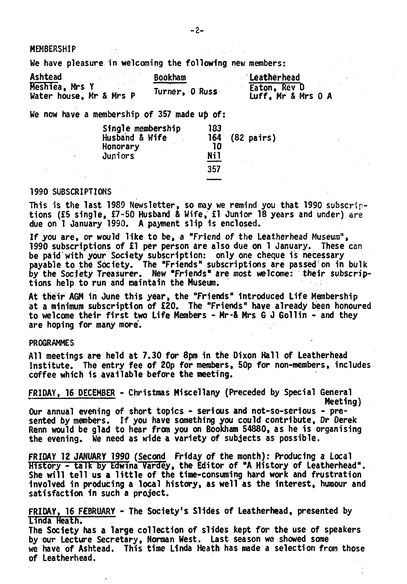**MEMBERSHIP** 

We have pleasure in welcoming the following new members:

| Ashtead                 | <b>Bookham</b> | Leatherhead        |
|-------------------------|----------------|--------------------|
| Meshiea, Mrs Y          | Turner. O Russ | Eaton, Rev D       |
| Water house, Mr & Mrs P |                | Luff, Mr & Mrs 0 A |

We now have a membership of 357 made up of:

| Single membership<br>Husband & Wife | 183<br>164 | $(82 \text{ pairs})$ |
|-------------------------------------|------------|----------------------|
| Honorary                            | 10         |                      |
| Juniors                             | Nil        |                      |
|                                     | 357        |                      |

#### 1990 SUBSCRIPTIONS

and good

This is the last 1989 Newsletter, so may we remind you that 1990 subscriptions (£5 single, £7-50 Husband *i* Wife, £1 Junior 18 years and under) are due on 1 January 1990. A payment slip is enclosed.

If you are, or would like to be, a "Friend of the Leatherhead Museum", 1990 subscriptions of £1 per person are also due on 1 January. These can be paid with your Society subscription: only one cheque is necessary payable to the Society. The "Friends" subscriptions are passed on in bulk by the Society Treasurer. New "Friends" are most welcome: their subscriptions help to run and maintain the Museun.

At their AGM in June this year, the "Friends" Introduced Life Membership at a minimum subscription of £20. The "Friends" have already been honoured to welcome their first two Life Members - Mr-& Mrs G J Gollin - and they are hoping for many more.

#### PROGRAMMES

All meetings are held at 7.30 for 8pm in the Dixon Hall of Leatherhead Institute. The entry fee of 20p for members, 50p for non-members, includes coffee which is available before the meeting.

FRIDAY, 16 DECEMBER - Christmas Miscellany (Preceded by Special General Meeting)

Our annual evening of short topics - serious and not-so-serious - presented by members. If you have something you could contribute, Dr Derek Renn would be glad to hear from you on Bookham 54880, as he is organising the evening. We need as wide a variety of subjects as possible.

FRIDAY 12 JANUARY 1990 (Second Friday of the month): Producing a Local History - talk by Edwina Vardey, the Editor of "A History of Leatherhead". She will tell us a little of the time-consuming hard work and frustration involved in producing a local history, as well as the interest, humour and satisfaction in such a project.

FRIDAY, 16 FEBRUARY - The Society's Slides of Leatherhead, presented by Linda Heath.

The Society has a large collection of slides kept for the use of speakers by our Lecture Secretary, Norman West. Last season we showed some we have of Ashtead. This time Linda Heath has made a selection from those of Leatherhead.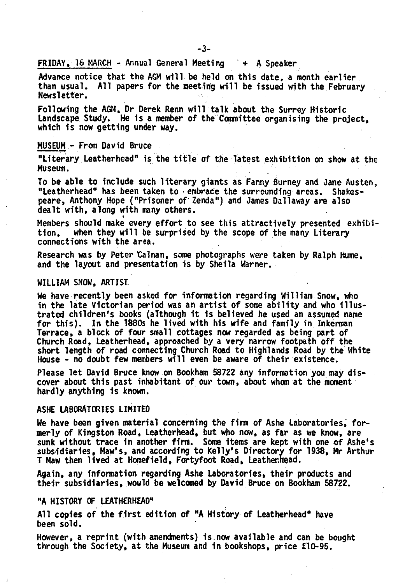$FRIDAY$ , 16 MARCH - Annual General Meeting  $+$  A Speaker

Advance notice that the AGM will be held on this date, a month earlier than usual. All papers for the meeting will be issued with the February Newsletter.

Following the AGM, Dr Derek Renn will talk about the Surrey Historic Landscape Study. He is a member of the Committee organising the project, which is now getting under way.

### MUSEUM - From David Bruce

"Literary Leatherhead" is the title of the latest exhibition on show at the Museum.

To be able to include such literary giants as Fanny Burney and Jane Austen, "Leatherhead" has been taken to embrace the surrounding areas. Shakespeare, Anthony Hope ("Prisoner of Zenda") and James Dallaway are also dealt with, along with many others.

Members should make every effort to see this attractively presented exhibition, when they will be surprised by the scope of the many Literary connections with the area.

Research was by Peter Calnan, some photographs were taken by Ralph Hume, and the layout and presentation is by Sheila Warner.

#### WILLIAM SNOW, ARTIST.

We have recently been asked for information regarding William Snow, who in the late Victorian period was an artist of some ability and who illustrated children's books (although 1t is believed he used an assumed name for this). In the 1880s he lived with his wife and family in Inkerman Terrace, a block of four small cottages now regarded as being part of Church Road, Leatherhead, approached by a very narrow footpath off the short length of road connecting Church Road to Highlands Road by the White House - no doubt few members will even be aware of their existence.

Please let David Bruce know on Bookham 58722 any information you may discover about this past inhabitant of our town, about whom at the moment hardly anything is known.

#### ASHE LABORATORIES LIMITED

We have been given material concerning the firm of Ashe Laboratories, formerly of Kingston Road, Leatherhead, but who now, as far as we know, are sunk without trace in another firm. Some items are kept with one of Ashe's subsidiaries, Maw's, and according to Kelly's Directory for 1938, Hr Arthur T Maw then lived at Homefield, Fortyfoot Road, Leatherhead.

Again, any Information regarding Ashe Laboratories, their products and their subsidiaries, would be welcomed by David Bruce on Bookham 58722.

#### "A HISTORY OF LEATHERHEAD"

All copies of the first edition of "A History of Leatherhead" have been sold.

However, a reprint (with amendments) is now available and can be bought through the Society, at the Museum and in bookshops, price £10-95.